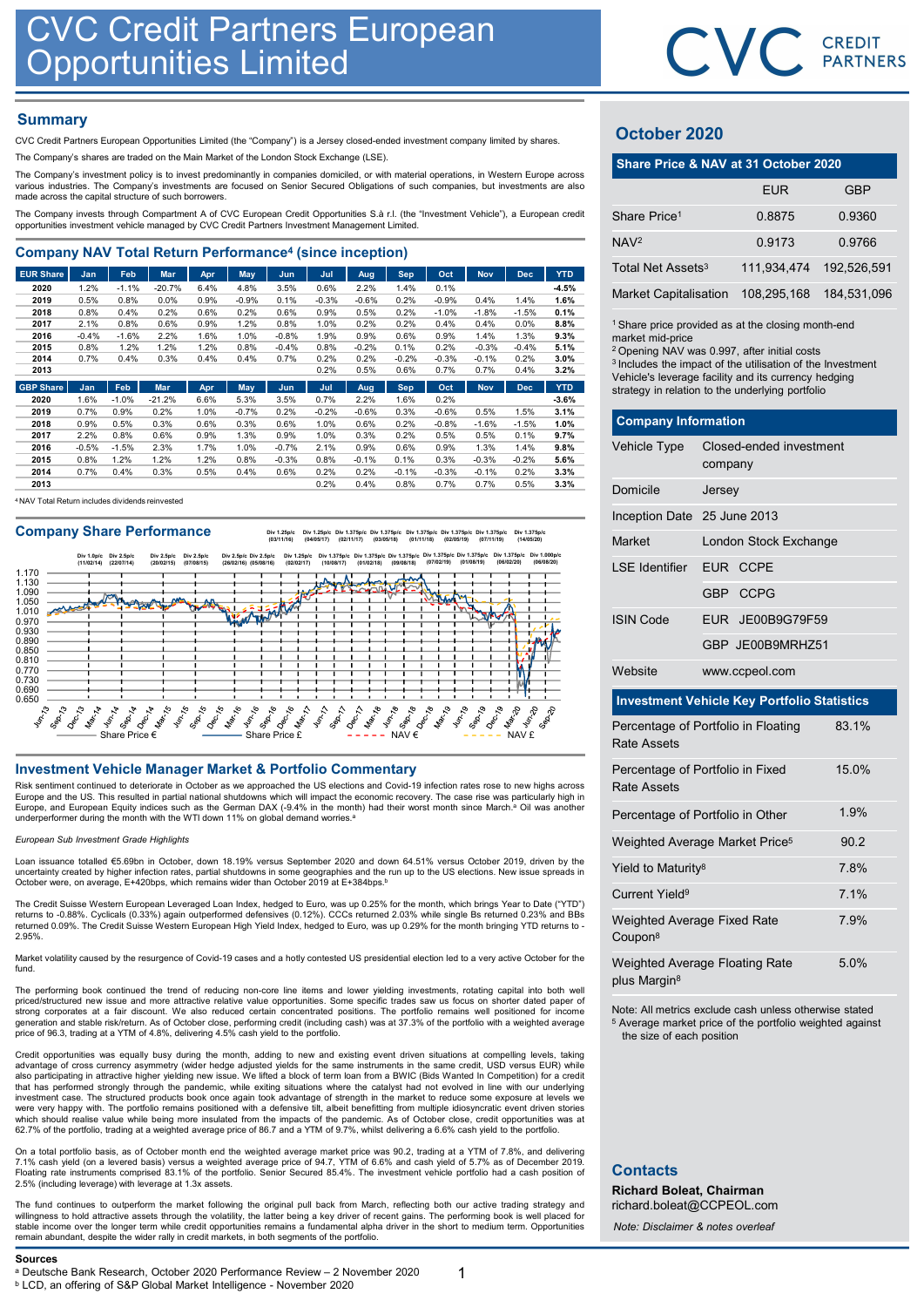# **Summary**

| Company NAV Total Return Performance <sup>4</sup> (since inception) |  |  |  |  |  |  |  |
|---------------------------------------------------------------------|--|--|--|--|--|--|--|
|---------------------------------------------------------------------|--|--|--|--|--|--|--|

| <b>CVC Credit Partners European</b>                                                                                                                                                                                                     |                 |                 |                  | <b>Opportunities Limited</b> |                 |                    |                 |                 |              |                 |                 |                 |                 |                                                                                                                         | CVC.        | CRI<br>PAI   |
|-----------------------------------------------------------------------------------------------------------------------------------------------------------------------------------------------------------------------------------------|-----------------|-----------------|------------------|------------------------------|-----------------|--------------------|-----------------|-----------------|--------------|-----------------|-----------------|-----------------|-----------------|-------------------------------------------------------------------------------------------------------------------------|-------------|--------------|
| <b>Summary</b>                                                                                                                                                                                                                          |                 |                 |                  |                              |                 |                    |                 |                 |              |                 |                 |                 |                 |                                                                                                                         |             |              |
| CVC Credit Partners European Opportunities Limited (the "Company") is a Jersey closed-ended investment company limited by shares.                                                                                                       |                 |                 |                  |                              |                 |                    |                 |                 |              |                 |                 |                 |                 | October 2020                                                                                                            |             |              |
| The Company's shares are traded on the Main Market of the London Stock Exchange (LSE).                                                                                                                                                  |                 |                 |                  |                              |                 |                    |                 |                 |              |                 |                 |                 |                 |                                                                                                                         |             |              |
| The Company's investment policy is to invest predominantly in companies domiciled, or with material operations, in Western Europe across                                                                                                |                 |                 |                  |                              |                 |                    |                 |                 |              |                 |                 |                 |                 | Share Price & NAV at 31 October 2020                                                                                    |             |              |
| various industries. The Company's investments are focused on Senior Secured Obligations of such companies, but investments are also<br>made across the capital structure of such borrowers.                                             |                 |                 |                  |                              |                 |                    |                 |                 |              |                 |                 |                 |                 |                                                                                                                         | <b>EUR</b>  |              |
| The Company invests through Compartment A of CVC European Credit Opportunities S.à r.l. (the "Investment Vehicle"), a European credit<br>opportunities investment vehicle managed by CVC Credit Partners Investment Management Limited. |                 |                 |                  |                              |                 |                    |                 |                 |              |                 |                 |                 |                 | Share Price <sup>1</sup>                                                                                                | 0.8875      | 0.           |
|                                                                                                                                                                                                                                         |                 |                 |                  |                              |                 |                    |                 |                 |              |                 |                 |                 |                 | NAV <sup>2</sup>                                                                                                        | 0.9173      | $\mathbf{0}$ |
| <b>Company NAV Total Return Performance<sup>4</sup> (since inception)</b>                                                                                                                                                               |                 |                 |                  |                              |                 |                    |                 |                 |              |                 |                 |                 |                 | Total Net Assets <sup>3</sup>                                                                                           | 111,934,474 | 192.         |
| <b>EUR Share</b>                                                                                                                                                                                                                        | Jan             | Feb             | Mar              | Apr                          | <b>May</b>      | Jun                | Jul             | Aug             | <b>Sep</b>   | Oct             | <b>Nov</b>      | <b>Dec</b>      | <b>YTD</b>      |                                                                                                                         |             |              |
| 2020<br>2019                                                                                                                                                                                                                            | 1.2%<br>0.5%    | $-1.1%$<br>0.8% | $-20.7%$<br>0.0% | 6.4%<br>0.9%                 | 4.8%<br>$-0.9%$ | 3.5%<br>0.1%       | 0.6%<br>$-0.3%$ | 2.2%<br>$-0.6%$ | 1.4%<br>0.2% | 0.1%<br>$-0.9%$ | 0.4%            | 1.4%            | $-4.5%$<br>1.6% | <b>Market Capitalisation</b>                                                                                            | 108,295,168 | 184,         |
| 2018                                                                                                                                                                                                                                    | 0.8%            | 0.4%            | 0.2%             | 0.6%                         | 0.2%            | 0.6%               | 0.9%            | 0.5%            | 0.2%         | $-1.0%$         | $-1.8%$         | $-1.5%$         | 0.1%            |                                                                                                                         |             |              |
| 2017                                                                                                                                                                                                                                    | 2.1%            | 0.8%            | 0.6%             | 0.9%                         | 1.2%            | 0.8%               | 1.0%            | 0.2%            | 0.2%         | 0.4%            | 0.4%            | $0.0\%$         | 8.8%            | <sup>1</sup> Share price provided as at the closing month-en                                                            |             |              |
| 2016<br>2015                                                                                                                                                                                                                            | $-0.4%$<br>0.8% | $-1.6%$<br>1.2% | 2.2%<br>1.2%     | 1.6%<br>1.2%                 | 1.0%<br>0.8%    | $-0.8%$<br>$-0.4%$ | 1.9%<br>0.8%    | 0.9%<br>$-0.2%$ | 0.6%<br>0.1% | 0.9%<br>0.2%    | 1.4%<br>$-0.3%$ | 1.3%<br>$-0.4%$ | 9.3%<br>5.1%    | market mid-price                                                                                                        |             |              |
| 2014                                                                                                                                                                                                                                    | 0.7%            | 0.4%            | 0.3%             | 0.4%                         | 0.4%            | 0.7%               | 0.2%            | 0.2%            | $-0.2%$      | $-0.3%$         | $-0.1%$         | 0.2%            | 3.0%            | <sup>2</sup> Opening NAV was 0.997, after initial costs                                                                 |             |              |
| 2013                                                                                                                                                                                                                                    |                 |                 |                  |                              |                 |                    | 0.2%            | 0.5%            | 0.6%         | 0.7%            | 0.7%            | 0.4%            | 3.2%            | <sup>3</sup> Includes the impact of the utilisation of the Inves<br>Vehicle's leverage facility and its currency hedgin |             |              |
| <b>GBP Share</b>                                                                                                                                                                                                                        | Jan             | Feb             | <b>Mar</b>       | Apr                          | May             | Jun                | Jul             | Aug             | <b>Sep</b>   | Oct             | <b>Nov</b>      | <b>Dec</b>      | <b>YTD</b>      | strategy in relation to the underlying portfolio                                                                        |             |              |

| 2020 | 1.6%    | $-1.0%$ | $-21.2%$ | 6.6%   | 5.3%    | 3.5%    | 0.7%    | 2.2%    | .6%     | 0.2%    |         |         | $-3.6%$ |
|------|---------|---------|----------|--------|---------|---------|---------|---------|---------|---------|---------|---------|---------|
| 2019 | 0.7%    | 0.9%    | 0.2%     | $.0\%$ | $-0.7%$ | 0.2%    | $-0.2%$ | $-0.6%$ | 0.3%    | $-0.6%$ | 0.5%    | .5%     | 3.1%    |
| 2018 | $0.9\%$ | 0.5%    | 0.3%     | 0.6%   | 0.3%    | 0.6%    | 1.0%    | 0.6%    | 0.2%    | $-0.8%$ | $-1.6%$ | $-1.5%$ | 1.0%    |
| 2017 | 2.2%    | 0.8%    | 0.6%     | 0.9%   | $1.3\%$ | 0.9%    | 1.0%    | 0.3%    | 0.2%    | 0.5%    | 0.5%    | 0.1%    | 9.7%    |
| 2016 | $-0.5%$ | $-1.5%$ | 2.3%     | 1.7%   | $1.0\%$ | $-0.7%$ | 2.1%    | 0.9%    | 0.6%    | 0.9%    | 1.3%    | 1.4%    | 9.8%    |
| 2015 | 0.8%    | 1.2%    | 1.2%     | $.2\%$ | $0.8\%$ | $-0.3%$ | 0.8%    | $-0.1%$ | 0.1%    | 0.3%    | $-0.3%$ | $-0.2%$ | 5.6%    |
| 2014 | 0.7%    | 0.4%    | 0.3%     | 0.5%   | 0.4%    | 0.6%    | 0.2%    | 0.2%    | $-0.1%$ | $-0.3%$ | $-0.1%$ | 0.2%    | 3.3%    |
| 2013 |         |         |          |        |         |         | 0.2%    | 0.4%    | 0.8%    | 0.7%    | 0.7%    | 0.5%    | 3.3%    |

<sup>4</sup>NAV Total Return includes dividends reinvested

Company Share Performance<br>
(03/11/15) (03/05/19) (02/05/19) (02/05/19) (02/11/15) (03/05/17) (03/05/18) (03/05/19) (03/05/19) (14/05/20)



Risk sentiment continued to deteriorate in October as we approached the US elections and Covid-19 infection rates rose to new highs across Europe and the US. This resulted in partial national shutdowns which will impact the economic recovery. The case rise was particularly high in Europe, and European Equity indices such as the German DAX (-9.4% in the month) had their worst month since March.<sup>a</sup> Oil was another underperformer during the month with the WTI down 11% on global demand worries.<sup>a</sup>

### European Sub Investment Grade Highlights

Loan issuance totalled €5.69bn in October, down 18.19% versus September 2020 and down 64.51% versus October 2019, driven by the<br>uncertainty created by higher infection rates, partial shutdowns in some geographies and the r October were, on average, E+420bps, which remains wider than October 2019 at E+384bps.b

The Credit Suisse Western European Leveraged Loan Index, hedged to Euro, was up 0.25% for the month, which brings Year to Date ("YTD")<br>returns to -0.88%. Cyclicals (0.33%) again outperformed defensives (0.12%). CCCs return 2.95%.

Market volatility caused by the resurgence of Covid-19 cases and a hotly contested US presidential election led to a very active October for the fund.

The performing book continued the trend of reducing non-core line items and lower yielding investments, rotating capital into both well<br>priced/structured new issue and more attractive relative value opportunities. Some spe generation and stable risk/return. As of October close, performing credit (including cash) was at 37.3% of the portfolio with a weighted average price of 96.3, trading at a YTM of 4.8%, delivering 4.5% cash yield to the portfolio.

Credit opportunities was equally busy during the month, adding to new and existing event driven situations at compelling levels, taking advantage of cross currency asymmetry (wider hedge adjusted yields for the same instruments in the same credit, USD versus EUR) while<br>also participating in attractive higher yielding new issue. We lifted a block of term lo that has performed strongly through the pandemic, while exiting situations where the catalyst had not evolved in line with our underlying<br>investment case. The structured products book once again took advantage of strength were very happy with. The portfolio remains positioned with a defensive tilt, albeit benefitting from multiple idiosyncratic event driven stories<br>which should realise value while being more insulated from the impacts of th 62.7% of the portfolio, trading at a weighted average price of 86.7 and a YTM of 9.7%, whilst delivering a 6.6% cash yield to the portfolio. a conserve the best in the control of the particular in the search of the conserve and the conserver and the conserver and the conserver and the conserver and the conserver and the conserver and the conserver and the conse Coach wave, an average, Exciting with tematic wide mixing the colonization of the state properties of the coach with the state of the product with the product with the state of the coach with the state of the state of the

On a total portfolio basis, as of October month end the weighted average market price was 90.2, trading at a YTM of 7.8%, and delivering<br>7.1% cash yield (on a levered basis) versus a weighted average price of 94.7, YTM of 2.5% (including leverage) with leverage at 1.3x asset

The fund continues to outperform the market following the original pull back from March, reflecting both our active trading strategy and<br>stillingness to hold attractive assets through the volatility, the latter being a key

Sources<br>a Deutsche Bank Research, October 2020 Performance Review - 2 November 2020

# October 2020

|                               | CVC CREDIT                                                                                                                                                                                                                                                                                                    |             |
|-------------------------------|---------------------------------------------------------------------------------------------------------------------------------------------------------------------------------------------------------------------------------------------------------------------------------------------------------------|-------------|
|                               |                                                                                                                                                                                                                                                                                                               |             |
|                               |                                                                                                                                                                                                                                                                                                               |             |
| October 2020                  |                                                                                                                                                                                                                                                                                                               |             |
|                               | Share Price & NAV at 31 October 2020                                                                                                                                                                                                                                                                          |             |
|                               | <b>EUR</b>                                                                                                                                                                                                                                                                                                    | <b>GBP</b>  |
| Share Price <sup>1</sup>      | 0.8875                                                                                                                                                                                                                                                                                                        | 0.9360      |
| NAV <sub>2</sub>              | 0.9173                                                                                                                                                                                                                                                                                                        | 0.9766      |
| Total Net Assets <sup>3</sup> | 111,934,474                                                                                                                                                                                                                                                                                                   | 192,526,591 |
| Market Capitalisation         | 108,295,168                                                                                                                                                                                                                                                                                                   | 184,531,096 |
| market mid-price              | <sup>1</sup> Share price provided as at the closing month-end<br><sup>2</sup> Opening NAV was 0.997, after initial costs<br><sup>3</sup> Includes the impact of the utilisation of the Investment<br>Vehicle's leverage facility and its currency hedging<br>strategy in relation to the underlying portfolio |             |
| <b>Company Information</b>    |                                                                                                                                                                                                                                                                                                               |             |
| Vehicle Type                  | Closed-ended investment<br>company                                                                                                                                                                                                                                                                            |             |
| Domicile                      | Jersey                                                                                                                                                                                                                                                                                                        |             |
| Inception Date 25 June 2013   |                                                                                                                                                                                                                                                                                                               |             |
| Market                        | London Stock Exchange                                                                                                                                                                                                                                                                                         |             |

| October 2020                                                                                                                                                                                                                                                                                                                                                                    |         |                         |             |
|---------------------------------------------------------------------------------------------------------------------------------------------------------------------------------------------------------------------------------------------------------------------------------------------------------------------------------------------------------------------------------|---------|-------------------------|-------------|
| Share Price & NAV at 31 October 2020                                                                                                                                                                                                                                                                                                                                            |         |                         |             |
|                                                                                                                                                                                                                                                                                                                                                                                 |         | <b>EUR</b>              | GBP         |
| Share Price <sup>1</sup>                                                                                                                                                                                                                                                                                                                                                        |         | 0.8875                  | 0.9360      |
| NAV <sup>2</sup>                                                                                                                                                                                                                                                                                                                                                                |         | 0.9173                  | 0.9766      |
| Total Net Assets <sup>3</sup>                                                                                                                                                                                                                                                                                                                                                   |         | 111,934,474             | 192,526,591 |
| <b>Market Capitalisation</b>                                                                                                                                                                                                                                                                                                                                                    |         | 108,295,168             | 184,531,096 |
| <sup>1</sup> Share price provided as at the closing month-end<br>market mid-price<br><sup>2</sup> Opening NAV was 0.997, after initial costs<br><sup>3</sup> Includes the impact of the utilisation of the Investment<br>Vehicle's leverage facility and its currency hedging<br>strategy in relation to the underlying portfolio<br><b>Company Information</b><br>Vehicle Type |         | Closed-ended investment |             |
|                                                                                                                                                                                                                                                                                                                                                                                 | company |                         |             |
| Domicile                                                                                                                                                                                                                                                                                                                                                                        | Jersey  |                         |             |
| Inception Date 25 June 2013                                                                                                                                                                                                                                                                                                                                                     |         |                         |             |
| Market                                                                                                                                                                                                                                                                                                                                                                          |         | London Stock Exchange   |             |
| <b>LSE</b> Identifier                                                                                                                                                                                                                                                                                                                                                           |         | EUR CCPE                |             |
|                                                                                                                                                                                                                                                                                                                                                                                 |         | GBP CCPG                |             |
| <b>ISIN Code</b>                                                                                                                                                                                                                                                                                                                                                                |         | EUR JE00B9G79F59        |             |
|                                                                                                                                                                                                                                                                                                                                                                                 |         | GBP JE00B9MRHZ51        |             |
| Website                                                                                                                                                                                                                                                                                                                                                                         |         | www.ccpeol.com          |             |
| <b>Investment Vehicle Key Portfolio Statistics</b>                                                                                                                                                                                                                                                                                                                              |         |                         |             |

### Investment Vehicle Key Portfolio Statistics

| <b>ISIN Code</b>                 | EUR JE00B9G79F59                                                                                                              |       |  |
|----------------------------------|-------------------------------------------------------------------------------------------------------------------------------|-------|--|
|                                  | GBP JE00B9MRHZ51                                                                                                              |       |  |
| Website                          | www.ccpeol.com                                                                                                                |       |  |
|                                  | <b>Investment Vehicle Key Portfolio Statistics</b>                                                                            |       |  |
| <b>Rate Assets</b>               | Percentage of Portfolio in Floating                                                                                           | 83.1% |  |
| <b>Rate Assets</b>               | Percentage of Portfolio in Fixed                                                                                              | 15.0% |  |
|                                  | Percentage of Portfolio in Other                                                                                              | 1.9%  |  |
|                                  | Weighted Average Market Price <sup>5</sup>                                                                                    | 90.2  |  |
| Yield to Maturity <sup>8</sup>   |                                                                                                                               | 7.8%  |  |
| <b>Current Yield<sup>9</sup></b> |                                                                                                                               | 7.1%  |  |
| Coupon <sup>8</sup>              | Weighted Average Fixed Rate                                                                                                   | 7.9%  |  |
| plus Margin <sup>8</sup>         | Weighted Average Floating Rate                                                                                                | 5.0%  |  |
| the size of each position        | Note: All metrics exclude cash unless otherwise stated<br><sup>5</sup> Average market price of the portfolio weighted against |       |  |

## **Contacts**

Richard Boleat, Chairman richard.boleat@CCPEOL.com

Note: Disclaimer & notes overleaf